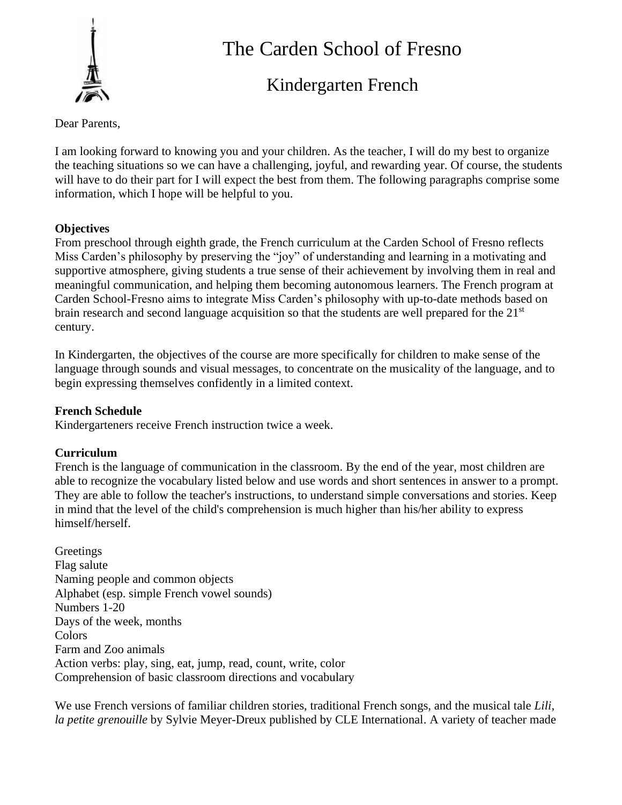

# The Carden School of Fresno

# Kindergarten French

Dear Parents,

I am looking forward to knowing you and your children. As the teacher, I will do my best to organize the teaching situations so we can have a challenging, joyful, and rewarding year. Of course, the students will have to do their part for I will expect the best from them. The following paragraphs comprise some information, which I hope will be helpful to you.

# **Objectives**

From preschool through eighth grade, the French curriculum at the Carden School of Fresno reflects Miss Carden's philosophy by preserving the "joy" of understanding and learning in a motivating and supportive atmosphere, giving students a true sense of their achievement by involving them in real and meaningful communication, and helping them becoming autonomous learners. The French program at Carden School-Fresno aims to integrate Miss Carden's philosophy with up-to-date methods based on brain research and second language acquisition so that the students are well prepared for the 21<sup>st</sup> century.

In Kindergarten, the objectives of the course are more specifically for children to make sense of the language through sounds and visual messages, to concentrate on the musicality of the language, and to begin expressing themselves confidently in a limited context.

# **French Schedule**

Kindergarteners receive French instruction twice a week.

# **Curriculum**

French is the language of communication in the classroom. By the end of the year, most children are able to recognize the vocabulary listed below and use words and short sentences in answer to a prompt. They are able to follow the teacher's instructions, to understand simple conversations and stories. Keep in mind that the level of the child's comprehension is much higher than his/her ability to express himself/herself.

**Greetings** Flag salute Naming people and common objects Alphabet (esp. simple French vowel sounds) Numbers 1-20 Days of the week, months Colors Farm and Zoo animals Action verbs: play, sing, eat, jump, read, count, write, color Comprehension of basic classroom directions and vocabulary

We use French versions of familiar children stories, traditional French songs, and the musical tale *Lili, la petite grenouille* by Sylvie Meyer-Dreux published by CLE International. A variety of teacher made